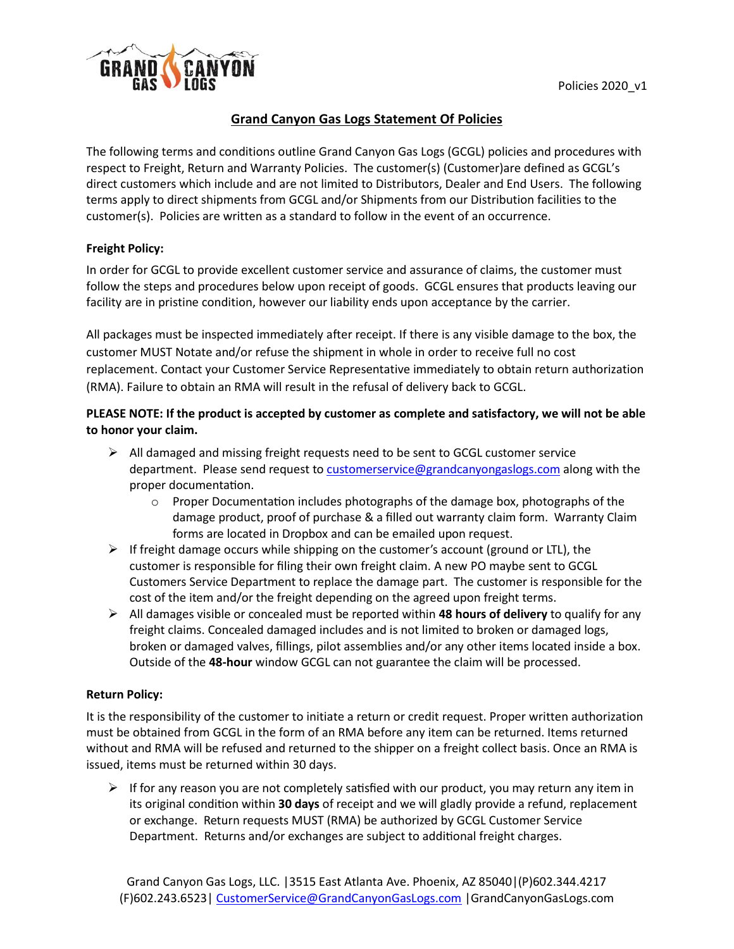

# **Grand Canyon Gas Logs Statement Of Policies**

The following terms and conditions outline Grand Canyon Gas Logs (GCGL) policies and procedures with respect to Freight, Return and Warranty Policies. The customer(s) (Customer)are defined as GCGL's direct customers which include and are not limited to Distributors, Dealer and End Users. The following terms apply to direct shipments from GCGL and/or Shipments from our Distribution facilities to the customer(s). Policies are written as a standard to follow in the event of an occurrence.

## **Freight Policy:**

In order for GCGL to provide excellent customer service and assurance of claims, the customer must follow the steps and procedures below upon receipt of goods. GCGL ensures that products leaving our facility are in pristine condition, however our liability ends upon acceptance by the carrier.

All packages must be inspected immediately after receipt. If there is any visible damage to the box, the customer MUST Notate and/or refuse the shipment in whole in order to receive full no cost replacement. Contact your Customer Service Representative immediately to obtain return authorization (RMA). Failure to obtain an RMA will result in the refusal of delivery back to GCGL.

# **PLEASE NOTE: If the product is accepted by customer as complete and satisfactory, we will not be able to honor your claim.**

- $\triangleright$  All damaged and missing freight requests need to be sent to GCGL customer service department. Please send request t[o customerservice@grandcanyongaslogs.com](mailto:customerservice@grandcanyongaslogs.com) along with the proper documentation.
	- $\circ$  Proper Documentation includes photographs of the damage box, photographs of the damage product, proof of purchase & a filled out warranty claim form. Warranty Claim forms are located in Dropbox and can be emailed upon request.
- $\triangleright$  If freight damage occurs while shipping on the customer's account (ground or LTL), the customer is responsible for filing their own freight claim. A new PO maybe sent to GCGL Customers Service Department to replace the damage part. The customer is responsible for the cost of the item and/or the freight depending on the agreed upon freight terms.
- ➢ All damages visible or concealed must be reported within **48 hours of delivery** to qualify for any freight claims. Concealed damaged includes and is not limited to broken or damaged logs, broken or damaged valves, fillings, pilot assemblies and/or any other items located inside a box. Outside of the **48-hour** window GCGL can not guarantee the claim will be processed.

## **Return Policy:**

It is the responsibility of the customer to initiate a return or credit request. Proper written authorization must be obtained from GCGL in the form of an RMA before any item can be returned. Items returned without and RMA will be refused and returned to the shipper on a freight collect basis. Once an RMA is issued, items must be returned within 30 days.

 $\triangleright$  If for any reason you are not completely satisfied with our product, you may return any item in its original condition within **30 days** of receipt and we will gladly provide a refund, replacement or exchange. Return requests MUST (RMA) be authorized by GCGL Customer Service Department. Returns and/or exchanges are subject to additional freight charges.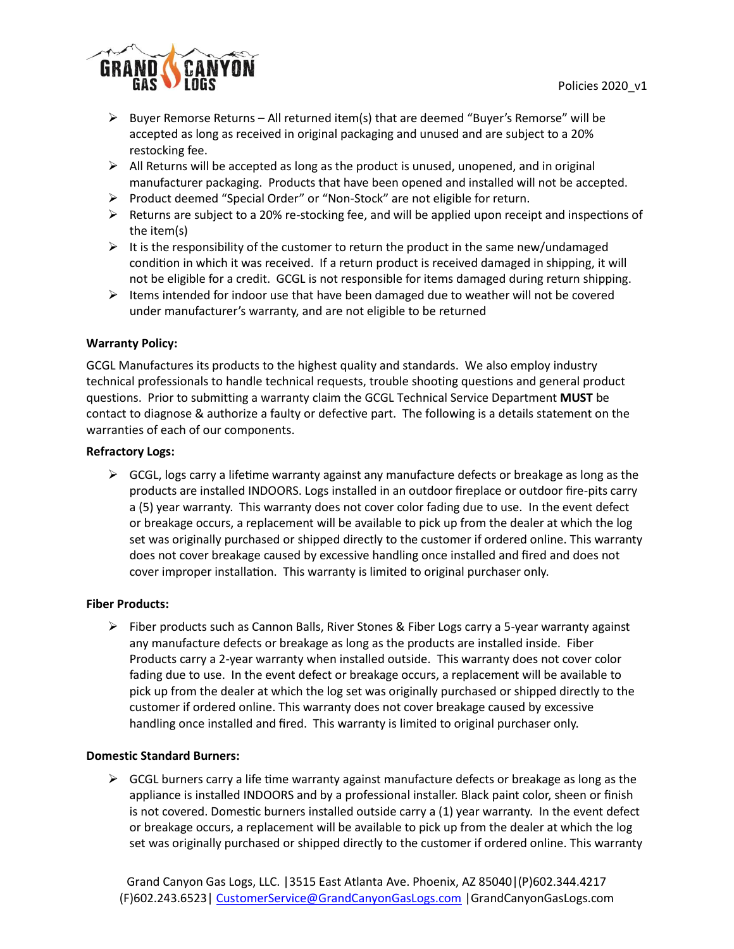

- $\triangleright$  Buyer Remorse Returns All returned item(s) that are deemed "Buyer's Remorse" will be accepted as long as received in original packaging and unused and are subject to a 20% restocking fee.
- $\triangleright$  All Returns will be accepted as long as the product is unused, unopened, and in original manufacturer packaging. Products that have been opened and installed will not be accepted.
- ➢ Product deemed "Special Order" or "Non-Stock" are not eligible for return.
- $\triangleright$  Returns are subject to a 20% re-stocking fee, and will be applied upon receipt and inspections of the item(s)
- $\triangleright$  It is the responsibility of the customer to return the product in the same new/undamaged condition in which it was received. If a return product is received damaged in shipping, it will not be eligible for a credit. GCGL is not responsible for items damaged during return shipping.
- $\triangleright$  Items intended for indoor use that have been damaged due to weather will not be covered under manufacturer's warranty, and are not eligible to be returned

### **Warranty Policy:**

GCGL Manufactures its products to the highest quality and standards. We also employ industry technical professionals to handle technical requests, trouble shooting questions and general product questions. Prior to submitting a warranty claim the GCGL Technical Service Department **MUST** be contact to diagnose & authorize a faulty or defective part. The following is a details statement on the warranties of each of our components.

### **Refractory Logs:**

 $\triangleright$  GCGL, logs carry a lifetime warranty against any manufacture defects or breakage as long as the products are installed INDOORS. Logs installed in an outdoor fireplace or outdoor fire-pits carry a (5) year warranty. This warranty does not cover color fading due to use. In the event defect or breakage occurs, a replacement will be available to pick up from the dealer at which the log set was originally purchased or shipped directly to the customer if ordered online. This warranty does not cover breakage caused by excessive handling once installed and fired and does not cover improper installation. This warranty is limited to original purchaser only.

## **Fiber Products:**

➢ Fiber products such as Cannon Balls, River Stones & Fiber Logs carry a 5-year warranty against any manufacture defects or breakage as long as the products are installed inside. Fiber Products carry a 2-year warranty when installed outside. This warranty does not cover color fading due to use. In the event defect or breakage occurs, a replacement will be available to pick up from the dealer at which the log set was originally purchased or shipped directly to the customer if ordered online. This warranty does not cover breakage caused by excessive handling once installed and fired. This warranty is limited to original purchaser only.

#### **Domestic Standard Burners:**

 $\triangleright$  GCGL burners carry a life time warranty against manufacture defects or breakage as long as the appliance is installed INDOORS and by a professional installer. Black paint color, sheen or finish is not covered. Domestic burners installed outside carry a (1) year warranty. In the event defect or breakage occurs, a replacement will be available to pick up from the dealer at which the log set was originally purchased or shipped directly to the customer if ordered online. This warranty